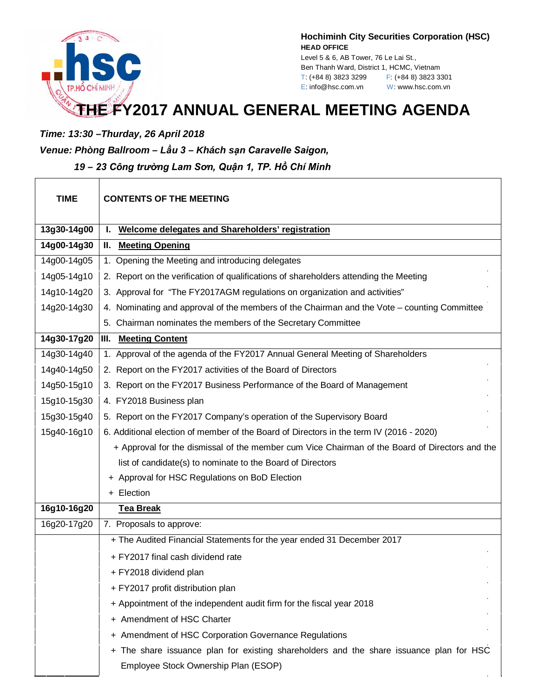

**Hochiminh City Securities Corporation (HSC) HEAD OFFICE** Level 5 & 6, AB Tower, 76 Le Lai St.,

Ben Thanh Ward, District 1, HCMC, Vietnam T: (+84 8) 3823 3299 F: (+84 8) 3823 3301 E: info@hsc.com.vn W: www.hsc.com.vn

## **THE FY2017 ANNUAL GENERAL MEETING AGENDA**

*Time: 13:30 –Thurday, 26 April 2018*

*Venue: Phòng Ballroom – Lầu 3 – Khách sạn Caravelle Saigon,* 

*19 – 23 Công trường Lam Sơn, Quận 1, TP. Hồ Chí Minh*

| <b>TIME</b> | <b>CONTENTS OF THE MEETING</b>                                                                 |
|-------------|------------------------------------------------------------------------------------------------|
| 13g30-14g00 | Welcome delegates and Shareholders' registration                                               |
| 14g00-14g30 | <b>Meeting Opening</b><br>Н.                                                                   |
| 14g00-14g05 | 1. Opening the Meeting and introducing delegates                                               |
| 14g05-14g10 | 2. Report on the verification of qualifications of shareholders attending the Meeting          |
| 14g10-14g20 | 3. Approval for "The FY2017AGM regulations on organization and activities"                     |
| 14g20-14g30 | 4. Nominating and approval of the members of the Chairman and the Vote - counting Committee    |
|             | 5. Chairman nominates the members of the Secretary Committee                                   |
| 14g30-17g20 | <b>III.</b> Meeting Content                                                                    |
| 14g30-14g40 | 1. Approval of the agenda of the FY2017 Annual General Meeting of Shareholders                 |
| 14g40-14g50 | 2. Report on the FY2017 activities of the Board of Directors                                   |
| 14g50-15g10 | 3. Report on the FY2017 Business Performance of the Board of Management                        |
| 15g10-15g30 | 4. FY2018 Business plan                                                                        |
| 15g30-15g40 | 5. Report on the FY2017 Company's operation of the Supervisory Board                           |
| 15g40-16g10 | 6. Additional election of member of the Board of Directors in the term IV (2016 - 2020)        |
|             | + Approval for the dismissal of the member cum Vice Chairman of the Board of Directors and the |
|             | list of candidate(s) to nominate to the Board of Directors                                     |
|             | + Approval for HSC Regulations on BoD Election                                                 |
|             | + Election                                                                                     |
| 16g10-16g20 | <b>Tea Break</b>                                                                               |
| 16g20-17g20 | 7. Proposals to approve:                                                                       |
|             | + The Audited Financial Statements for the year ended 31 December 2017                         |
|             | + FY2017 final cash dividend rate                                                              |
|             | + FY2018 dividend plan                                                                         |
|             | + FY2017 profit distribution plan                                                              |
|             | + Appointment of the independent audit firm for the fiscal year 2018                           |
|             | + Amendment of HSC Charter                                                                     |
|             | + Amendment of HSC Corporation Governance Regulations                                          |
|             | + The share issuance plan for existing shareholders and the share issuance plan for HSC        |
|             | Employee Stock Ownership Plan (ESOP)                                                           |